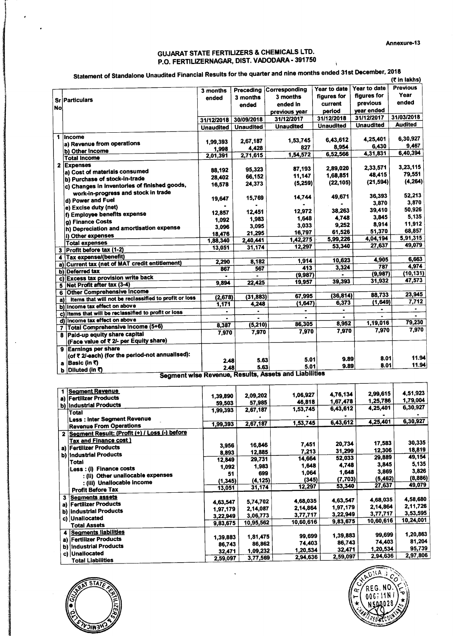## GUJARAT STATE FERTILIZERS & CHEMICALS LTD. P.O. FERTILIZERNAGAR, DIST. VADODARA - 391750 ^

|           | Statement of Standalone Unaudited Financial Results for the quarter and more than |                  |                  |                                                                      |                  |                  | (₹ in lakhs)    |
|-----------|-----------------------------------------------------------------------------------|------------------|------------------|----------------------------------------------------------------------|------------------|------------------|-----------------|
|           |                                                                                   | 3 months         | Preceding        | Corresponding                                                        | Year to date     | Year to date     | <b>Previous</b> |
|           | Sr Particulars                                                                    | ended            | 3 months         | 3 months                                                             | figures for      | figures for      | Year            |
| <b>No</b> |                                                                                   |                  | ended            | ended in                                                             | current          | previous         | ended           |
|           |                                                                                   |                  |                  | previous year                                                        | period           | year ended       |                 |
|           |                                                                                   | 31/12/2018       | 30/09/2018       | 31/12/2017                                                           | 31/12/2018       | 31/12/2017       | 31/03/2018      |
|           |                                                                                   | <b>Unaudited</b> | <b>Unaudited</b> | <b>Unaudited</b>                                                     | <b>Unaudited</b> | <b>Unaudited</b> | <b>Audited</b>  |
|           | 1 Income                                                                          |                  |                  |                                                                      |                  |                  |                 |
|           | a) Revenue from operations                                                        | 1.99.393         | 2,67,187         | 1.53,745                                                             | 6,43,612         | 4.25.401         | 6,30,927        |
|           | b) Other Income                                                                   | 1.998            | 4,428            | 827                                                                  | 8,954            | 6.430            | 9,467           |
|           | <b>Total Income</b>                                                               | 2,01,391         | 2,71,615         | 1.54.572                                                             | 6,52,566         | 4,31,831         | 6.40,394        |
|           | 2 Expenses                                                                        |                  |                  |                                                                      |                  |                  |                 |
|           | a) Cost of materials consumed                                                     | 88,192           | 95,323           | 87,193                                                               | 2.89,020         | 2.33.571         | 3,23,115        |
|           | b) Purchase of stock-in-trade                                                     | 28.402           | 66.152           | 11,147                                                               | 1,68,851         | 48,415           | 79,551          |
|           | c) Changes in inventories of finished goods,                                      | 16,578           | 24,373           | (5,259)                                                              | (22, 105)        | (21, 594)        | (4, 264)        |
|           | work-in-progress and stock in trade                                               |                  |                  |                                                                      |                  |                  |                 |
|           |                                                                                   | 19.647           | 15,769           | 14,744                                                               | 49,671           | 36,393           | 52,213          |
|           | d) Power and Fuel                                                                 |                  |                  |                                                                      |                  | 3,870            | 3,870           |
|           | e) Excise duty (net)                                                              | 12,857           | 12,451           | 12,972                                                               | 38,263           | 39,410           | 50,926          |
|           | f) Employee benefits expense                                                      | 1.092            | 1,983            | 1.648                                                                | 4,748            | 3,845            | 5,135           |
|           | g) Finance Costs                                                                  | 3.096            | 3,095            | 3,033                                                                | 9,252            | 8,914            | 11,912          |
|           | h) Depreciation and amortisation expense                                          | 18,476           | 21,295           | 16,797                                                               | 61,526           | 51,370           | 68,857          |
|           | i) Other expenses                                                                 | 1.88.340         | 2,40,441         | 1,42,275                                                             | 5,99,226         | 4.04,194         | 5.91,315        |
|           | <b>Total expenses</b>                                                             | 13,051           | 31,174           | 12,297                                                               | 53,340           | 27,637           | 49.079          |
|           | 3 Profit before tax (1-2)                                                         |                  |                  |                                                                      |                  |                  |                 |
|           | Tax expense/(benefit)                                                             |                  | 8,182            | 1,914                                                                | 10,623           | 4.905            | 6,663           |
| a)        | <b>Current tax (net of MAT credit entitlement)</b>                                | 2,290<br>867     | 567              | 413                                                                  | 3,324            | 787              | 4,974           |
| b)        | Deferred tax                                                                      |                  |                  | (9.987)                                                              |                  | (9,987)          | (10, 131)       |
|           | c) Excess tax provision write back                                                |                  | ٠                | 19,957                                                               | 39,393           | 31,932           | 47,573          |
| 5.        | <b>Net Profit after tax (3-4)</b>                                                 | 9.894            | 22,425           |                                                                      |                  |                  |                 |
| 6         | <b>Other Comprehensive Income</b>                                                 |                  |                  | 67,995                                                               | (36, 814)        | 88,733           | 23,945          |
| a)        | Items that will not be reclassified to profit or loss                             | (2,678)          | (31, 883)        | (1, 647)                                                             | 6,373            | (1,649)          | 7.712           |
| b)        | Income tax effect on above                                                        | 1,171            | 4,248            |                                                                      | $\bullet$        | $\blacksquare$   | $\bullet$       |
| c)        | Items that will be reclassified to profit or loss                                 | $\bullet$        | ٠                |                                                                      | $\blacksquare$   |                  | $\blacksquare$  |
|           | d) Income tax effect on above                                                     |                  |                  | $\blacksquare$<br>86,305                                             | 8,952            | 1,19,016         | 79,230          |
| 7         | <b>Total Comprehensive Income (5+6)</b>                                           | 8,387            | (5, 210)         |                                                                      | 7,970            | 7,970            | 7,970           |
|           | 8 Paid-up equity share capital                                                    | 7,970            | 7,970            | 7.970                                                                |                  |                  |                 |
|           | (Face value of ₹ 2/- per Equity share)                                            |                  |                  |                                                                      |                  |                  |                 |
|           | 9 Earnings per share                                                              |                  |                  |                                                                      |                  |                  |                 |
|           | (of ₹ 2/-each) (for the period-not annualised):                                   |                  |                  |                                                                      |                  | 8.01             | 11.94           |
| a         | Basic (in ₹)                                                                      | 2.48             | 5.63             | 5.01                                                                 | 9.89             | 8.01             | 11.94           |
| b         | Diluted (in ₹)                                                                    | 2.48             | 5.63             | 5.01<br><b>Example 1</b> December 2001 of the Assets and Liabilities | 9.89             |                  |                 |

Segment wise Revenue, Results, Assets and Liabllibes

|    | <b>Segment Revenue</b>                          | 1,39,890 | 2,09,202  | 1,06,927  | 4.76,134 | 2,99,615  | 4,51,923  |
|----|-------------------------------------------------|----------|-----------|-----------|----------|-----------|-----------|
|    | a) Fertilizer Products                          |          |           | 46,818    | 1,67,478 | 1,25,786  | 1,79,004  |
|    | b) Industrial Products                          | 59,503   | 57,985    |           |          | 4,25,401  | 6,30,927  |
|    | Total                                           | 1,99,393 | 2,67,187  | 1,53,745  | 6,43,612 |           |           |
|    | Less: Inter Segment Revenue                     |          | 2,67,187  | 1,53,745  | 6,43,612 | 4,25,401  | 6,30,927  |
|    | <b>Revenue From Operations</b>                  | 1,99,393 |           |           |          |           |           |
|    | 2 Segment Result: (Profit (+) / Loss (-) before |          |           |           |          |           |           |
|    | <b>Tax and Finance cost)</b>                    | 3,956    | 16,846    | 7,451     | 20,734   | 17,583    | 30,335    |
|    | a) Fertilizer Products                          |          |           | 7,213     | 31,299   | 12,306    | 18,819    |
|    | b) Industrial Products                          | 8,893    | 12,885    |           |          | 29,889    | 49,154    |
|    | Total                                           | 12,849   | 29,731    | 14,664    | 52,033   |           |           |
|    | Less : (i) Finance costs                        | 1,092    | 1,983     | 1,648     | 4,748    | 3,845     | 5,135     |
|    | Other unallocable expenses                      | 51       | 699       | 1,064     | 1,648    | 3,869     | 3,826     |
|    | : (II)                                          | (1,345)  | (4, 125)  | (345)     | (7,703)  | (5,462)   | (8,886)   |
|    | : (iii) Unallocable income                      | 13,051   | 31,174    | 12,297    | 53,340   | 27,637    | 49,079    |
|    | <b>Profit Before Tax</b>                        |          |           |           |          |           |           |
| 3  | <b>Segments assets</b>                          |          | 5,74,702  | 4,68,035  | 4,63,547 | 4,68,035  | 4,58,680  |
| a) | <b>Fertilizer Products</b>                      | 4,63,547 |           | 2,14,864  | 1,97,179 | 2,14,864  | 2,11,726  |
| b) | <b>Industrial Products</b>                      | 1,97,179 | 2,14,087  |           |          | 3,77,717  | 3,53,595  |
|    | c) Unallocated                                  | 3,22,949 | 3,06,773  | 3,77,717  | 3,22,949 |           | 10,24,001 |
|    | <b>Total Assets</b>                             | 9,83,675 | 10,95,562 | 10,60,616 | 9,83,675 | 10,60,616 |           |
|    | 4 Segments liabilities                          |          |           |           |          |           |           |
|    | a) Fertilizer Products                          | 1,39,883 | 1,81,475  | 99,699    | 1,39,883 | 99,699    | 1,20,863  |
| b) |                                                 | 86,743   | 86,862    | 74,403    | 86,743   | 74,403    | 81,204    |
|    | <b>Industrial Products</b>                      | 32,471   | 1,09,232  | 1,20,534  | 32,471   | 1,20,534  | 95,739    |
|    | c) Unallocated                                  |          | 3,77,569  | 2,94,636  | 2,59,097 | 2,94,636  | 2,97,806  |
|    | <b>Total Liabilities</b>                        | 2.59,097 |           |           |          |           |           |

l,